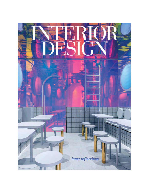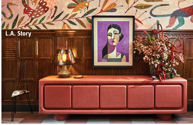*With the Proper downtown hotel, a hospitality landmark has emerged, thanks to a cast of local artists and artisans led by Angeleno firms Kelly Wearstler and Omgivning*



## **L.A. Story** *text: edie cohen photography: the ingalls*

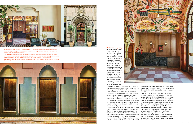## **The fourth in the quartet,**

the Downtown L.A. Proper is Kelly Wearstler's most complex and layered hotel for the brand yet. "Since the 13-story building is historic, it was important to keep its integrity, its original and odd architectural details," the acclaimed designer begins. That includes an existing basketball court on the sixth floor and an indoor pool on the seventh. (More on those later.) The interiors of the four-year project, a standout on the city's<br>gentrifying Broadway corridor, are a multicultural visual feast, a mashup of everything Wearstler is known for and loves: color



and pattern; vintage finds mixed with custom pieces; art, both sourced and commissioned; and tiles galore, some 100 different types. Equally rich is the structure's backstory leading to its Historic-Cultural Monument designation.

Designed by Curlett & Beelman, the California Renais sance Revival building was completed in 1926 as the Commercial Club, a private Old Hollywood–style entity that counted Cecil B. DeMille among its members. In the '40's and '50's, it transitioned into a hotel, before becoming a 126-room YWCA in 1965. When Wearstler and col laborating architecture firm Omgivning took it on, it had been vacant for 10 years.

For Wearstler, initial inspiration came from another landmark, the Herald Examiner building across the street, built by architect Julia Morgan for William Randolph Hearst in 1913. "I was looking out the window and seeing the iconic structure, with its tile motifs at the top," she recalls. "The Proper Hospitality brand is about being fiercely local." But she went farther afield, too. The bas-relief on the Curlett & Beelman facade shows Spanish, Mexican, and Native American references. All these influences, interpreted with poetic license, now pervade the 115,000- square-foot interior of the Downtown L.A. Proper. They are visible right at the entry. Wearstler commis sioned two area artists to make it a showstopping set ting. Painter Abel Macias, whose playful and bold color aesthetic draws upon his Mexican heritage, spent nearly two months on scaffolding covering the walls and the

Omgivning is an L.A. firm specializing in adaptive reuse, its founder and principal Karin Liljegren naming the firm after the Swedish word that roughly translates to "the way a space feels," she says. "Considering its immense scale, the Proper was a creative and space-planning chal lenge that utilized every square inch of the building," Omgivning director of hospitality projects Morgan Sykes Jaybush states. "Even with the massiveness of the project,



*Previous spread: In the lobby at the Downtown L.A. Proper, a hotel inside a 1926 building restored by Omgivning with interiors by Kelly Wearstler, the red gumwood millwork is original and the painting circa 1930's but Wearstler's Colina credenza with a cinnabar plaster finish is new.* 

*Top, from left: A stained-glass partition by Judson Studios marks the entry to Caldo Verde, the restaurant off the lobby. The landmarked limestone and terra-cotta facade incorporates an arched entrance framed with bas-relief, which influenced the design of the hotel's interiors. Bottom: Elevators have also retained their original arched frameworks.* 

*Opposite: Anchored by existing marble flooring, reception is composed of a desk by Morgan Peck and a mural by Abel Macias, both local artists.* 



we took special care with the details, salvaging as many original pieces as possible, from brass door hardware with Commercial Club initials to ornate Babylonian-style plaster

corbels."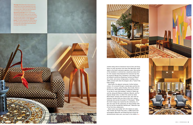heavy on ocher and dusty-rose tones that Wearstler would adopt as the hotel's pervasive signature colors. One section of the installation is anchored by a mysterious ebony form: It's the reception desk fashioned from textured clay tiles by ceramicist Morgan Peck. Elsewhere in the lobby is original millwork restored by Omgivning, furniture by Wearstler's studio, and various vintage pieces, including a circa 1930's artwork with what the designer calls a "Cubist-Frida Kahlo feeling."



That includes the Proper Pool suite, a 2,800-square-foot extravaganza Wearstler and Omgivning built around the aforementioned indoor pool, now smack in the middle of  $\rightarrow$ 

visitors. It's accessed through a stained-glass partition by another L.A. artisan, Judson Studios. Once inside, there is the focal bar, which Wearstler and Omgivning conceived "to be like its own little building," framed in ribbed oak and tile, along with Mexican modernist, Moorish, and Portuguese design notes, to reflect the cuisine by James Beard Award–winning chef Suzanne Goin, who with restaurateur Caroline Styne are stars of the city's culinary landscape and oversee the project's F+B program. "While the hotel's design was inspired by the community, it is also very much for the community, for those familiar with the city and this wonderfully talented pair," Wearstler says of her first-time collaborators.

*This page: Behind Wearstler's Durant sofa and a vintage lamp in the Proper Basketball Court suite, so called because of the room's previous life when the property was a YWCA, are super-size squares and rectangles coated in textured paint.* 

*Opposite top, from left: Custom stools line the Caldo Verde bar, built of copper, granite, and ribbed oak that's been ebonized, cerused, and wire-brushed; floor tiles are also custom. A custom woven rug and a vintage painting enliven a corridor. Opposite bottom: The blocks emphasize the 18-foot height of the 1,400-square-foot court suite, which Wearstler furnished with a Victoria Morris side table flanked by vintage Peter Shire chairs.*